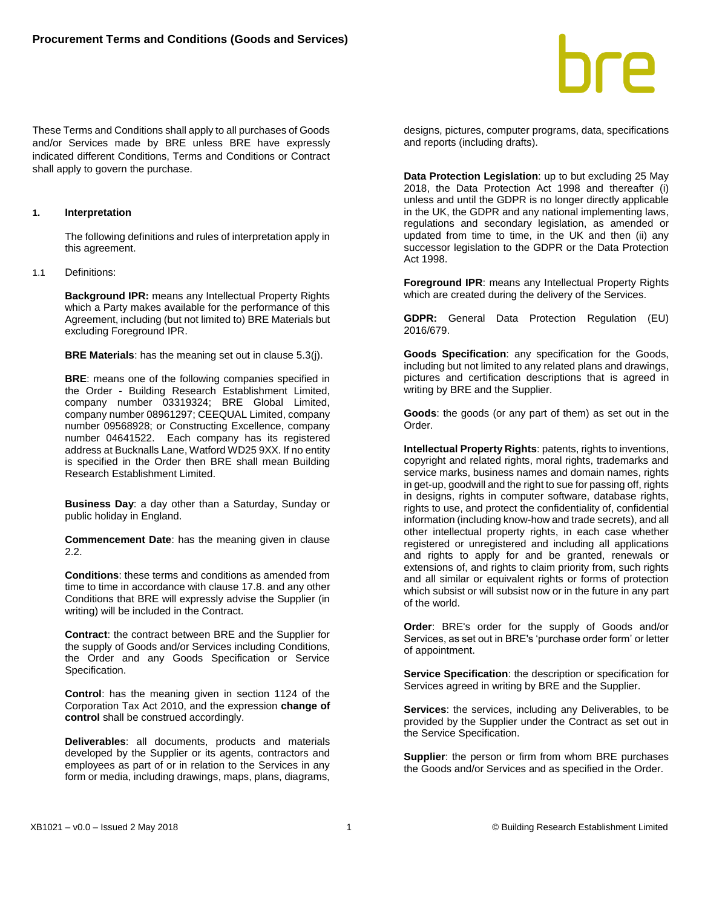These Terms and Conditions shall apply to all purchases of Goods and/or Services made by BRE unless BRE have expressly indicated different Conditions, Terms and Conditions or Contract shall apply to govern the purchase.

# **1. Interpretation**

The following definitions and rules of interpretation apply in this agreement.

1.1 Definitions:

**Background IPR:** means any Intellectual Property Rights which a Party makes available for the performance of this Agreement, including (but not limited to) BRE Materials but excluding Foreground IPR.

**BRE Materials**: has the meaning set out in clause 5.3(j).

**BRE**: means one of the following companies specified in the Order - Building Research Establishment Limited, company number 03319324; BRE Global Limited, company number 08961297; CEEQUAL Limited, company number 09568928; or Constructing Excellence, company number 04641522. Each company has its registered address at Bucknalls Lane, Watford WD25 9XX. If no entity is specified in the Order then BRE shall mean Building Research Establishment Limited.

**Business Day**: a day other than a Saturday, Sunday or public holiday in England.

**Commencement Date**: has the meaning given in clause  $2.2<sub>2</sub>$ 

**Conditions**: these terms and conditions as amended from time to time in accordance with clause 17.8. and any other Conditions that BRE will expressly advise the Supplier (in writing) will be included in the Contract.

**Contract**: the contract between BRE and the Supplier for the supply of Goods and/or Services including Conditions, the Order and any Goods Specification or Service Specification.

**Control**: has the meaning given in section 1124 of the Corporation Tax Act 2010, and the expression **change of control** shall be construed accordingly.

**Deliverables**: all documents, products and materials developed by the Supplier or its agents, contractors and employees as part of or in relation to the Services in any form or media, including drawings, maps, plans, diagrams, designs, pictures, computer programs, data, specifications and reports (including drafts).

**Data Protection Legislation**: up to but excluding 25 May 2018, the Data Protection Act 1998 and thereafter (i) unless and until the GDPR is no longer directly applicable in the UK, the GDPR and any national implementing laws, regulations and secondary legislation, as amended or updated from time to time, in the UK and then (ii) any successor legislation to the GDPR or the Data Protection Act 1998.

**Foreground IPR**: means any Intellectual Property Rights which are created during the delivery of the Services.

**GDPR:** General Data Protection Regulation (EU) 2016/679.

**Goods Specification**: any specification for the Goods, including but not limited to any related plans and drawings, pictures and certification descriptions that is agreed in writing by BRE and the Supplier.

**Goods**: the goods (or any part of them) as set out in the Order.

**Intellectual Property Rights**: patents, rights to inventions, copyright and related rights, moral rights, trademarks and service marks, business names and domain names, rights in get-up, goodwill and the right to sue for passing off, rights in designs, rights in computer software, database rights, rights to use, and protect the confidentiality of, confidential information (including know-how and trade secrets), and all other intellectual property rights, in each case whether registered or unregistered and including all applications and rights to apply for and be granted, renewals or extensions of, and rights to claim priority from, such rights and all similar or equivalent rights or forms of protection which subsist or will subsist now or in the future in any part of the world.

**Order**: BRE's order for the supply of Goods and/or Services, as set out in BRE's 'purchase order form' or letter of appointment.

**Service Specification**: the description or specification for Services agreed in writing by BRE and the Supplier.

**Services**: the services, including any Deliverables, to be provided by the Supplier under the Contract as set out in the Service Specification.

**Supplier:** the person or firm from whom BRE purchases the Goods and/or Services and as specified in the Order.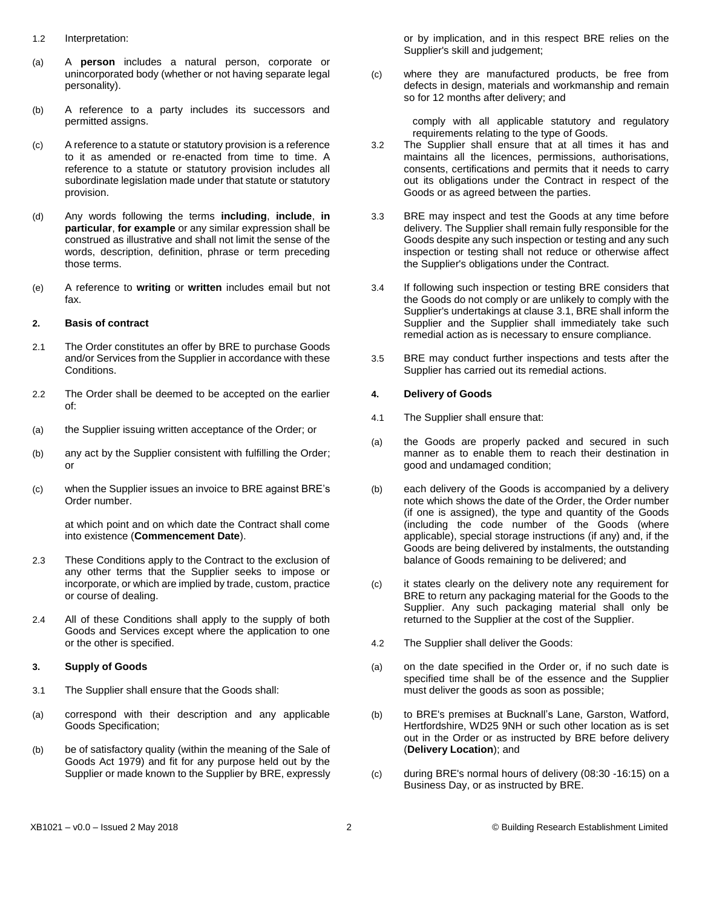- 1.2 Interpretation:
- (a) A **person** includes a natural person, corporate or unincorporated body (whether or not having separate legal personality).
- (b) A reference to a party includes its successors and permitted assigns.
- (c) A reference to a statute or statutory provision is a reference to it as amended or re-enacted from time to time. A reference to a statute or statutory provision includes all subordinate legislation made under that statute or statutory provision.
- (d) Any words following the terms **including**, **include**, **in particular**, **for example** or any similar expression shall be construed as illustrative and shall not limit the sense of the words, description, definition, phrase or term preceding those terms.
- (e) A reference to **writing** or **written** includes email but not fax.

#### **2. Basis of contract**

- 2.1 The Order constitutes an offer by BRE to purchase Goods and/or Services from the Supplier in accordance with these Conditions.
- 2.2 The Order shall be deemed to be accepted on the earlier of:
- (a) the Supplier issuing written acceptance of the Order; or
- (b) any act by the Supplier consistent with fulfilling the Order; or
- (c) when the Supplier issues an invoice to BRE against BRE's Order number.

at which point and on which date the Contract shall come into existence (**Commencement Date**).

- 2.3 These Conditions apply to the Contract to the exclusion of any other terms that the Supplier seeks to impose or incorporate, or which are implied by trade, custom, practice or course of dealing.
- 2.4 All of these Conditions shall apply to the supply of both Goods and Services except where the application to one or the other is specified.

# **3. Supply of Goods**

- <span id="page-1-0"></span>3.1 The Supplier shall ensure that the Goods shall:
- (a) correspond with their description and any applicable Goods Specification;
- (b) be of satisfactory quality (within the meaning of the Sale of Goods Act 1979) and fit for any purpose held out by the Supplier or made known to the Supplier by BRE, expressly

or by implication, and in this respect BRE relies on the Supplier's skill and judgement;

(c) where they are manufactured products, be free from defects in design, materials and workmanship and remain so for 12 months after delivery; and

> comply with all applicable statutory and regulatory requirements relating to the type of Goods.

- 3.2 The Supplier shall ensure that at all times it has and maintains all the licences, permissions, authorisations, consents, certifications and permits that it needs to carry out its obligations under the Contract in respect of the Goods or as agreed between the parties.
- 3.3 BRE may inspect and test the Goods at any time before delivery. The Supplier shall remain fully responsible for the Goods despite any such inspection or testing and any such inspection or testing shall not reduce or otherwise affect the Supplier's obligations under the Contract.
- 3.4 If following such inspection or testing BRE considers that the Goods do not comply or are unlikely to comply with the Supplier's undertakings at clause 3.1, BRE shall inform the Supplier and the Supplier shall immediately take such remedial action as is necessary to ensure compliance.
- 3.5 BRE may conduct further inspections and tests after the Supplier has carried out its remedial actions.

#### **4. Delivery of Goods**

- 4.1 The Supplier shall ensure that:
- (a) the Goods are properly packed and secured in such manner as to enable them to reach their destination in good and undamaged condition;
- (b) each delivery of the Goods is accompanied by a delivery note which shows the date of the Order, the Order number (if one is assigned), the type and quantity of the Goods (including the code number of the Goods (where applicable), special storage instructions (if any) and, if the Goods are being delivered by instalments, the outstanding balance of Goods remaining to be delivered; and
- (c) it states clearly on the delivery note any requirement for BRE to return any packaging material for the Goods to the Supplier. Any such packaging material shall only be returned to the Supplier at the cost of the Supplier.
- 4.2 The Supplier shall deliver the Goods:
- (a) on the date specified in the Order or, if no such date is specified time shall be of the essence and the Supplier must deliver the goods as soon as possible;
- (b) to BRE's premises at Bucknall's Lane, Garston, Watford, Hertfordshire, WD25 9NH or such other location as is set out in the Order or as instructed by BRE before delivery (**Delivery Location**); and
- (c) during BRE's normal hours of delivery (08:30 -16:15) on a Business Day, or as instructed by BRE.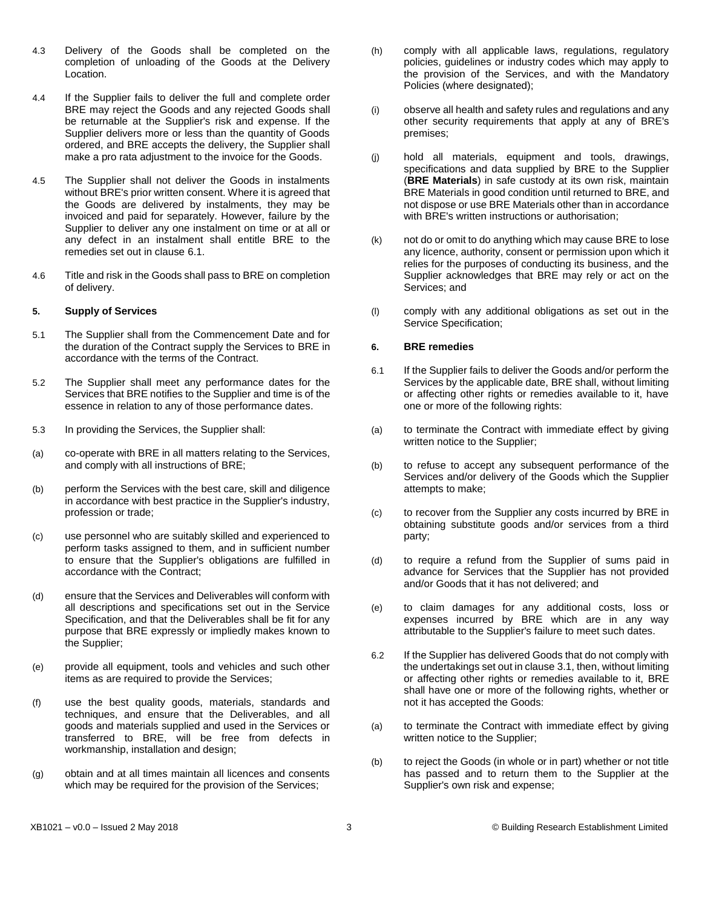- 4.3 Delivery of the Goods shall be completed on the completion of unloading of the Goods at the Delivery Location.
- 4.4 If the Supplier fails to deliver the full and complete order BRE may reject the Goods and any rejected Goods shall be returnable at the Supplier's risk and expense. If the Supplier delivers more or less than the quantity of Goods ordered, and BRE accepts the delivery, the Supplier shall make a pro rata adjustment to the invoice for the Goods.
- 4.5 The Supplier shall not deliver the Goods in instalments without BRE's prior written consent. Where it is agreed that the Goods are delivered by instalments, they may be invoiced and paid for separately. However, failure by the Supplier to deliver any one instalment on time or at all or any defect in an instalment shall entitle BRE to the remedies set out in clause 6.1.
- 4.6 Title and risk in the Goods shall pass to BRE on completion of delivery.

#### **5. Supply of Services**

- 5.1 The Supplier shall from the Commencement Date and for the duration of the Contract supply the Services to BRE in accordance with the terms of the Contract.
- 5.2 The Supplier shall meet any performance dates for the Services that BRE notifies to the Supplier and time is of the essence in relation to any of those performance dates.
- 5.3 In providing the Services, the Supplier shall:
- (a) co-operate with BRE in all matters relating to the Services, and comply with all instructions of BRE;
- (b) perform the Services with the best care, skill and diligence in accordance with best practice in the Supplier's industry, profession or trade;
- (c) use personnel who are suitably skilled and experienced to perform tasks assigned to them, and in sufficient number to ensure that the Supplier's obligations are fulfilled in accordance with the Contract;
- (d) ensure that the Services and Deliverables will conform with all descriptions and specifications set out in the Service Specification, and that the Deliverables shall be fit for any purpose that BRE expressly or impliedly makes known to the Supplier;
- (e) provide all equipment, tools and vehicles and such other items as are required to provide the Services;
- (f) use the best quality goods, materials, standards and techniques, and ensure that the Deliverables, and all goods and materials supplied and used in the Services or transferred to BRE, will be free from defects in workmanship, installation and design;
- (g) obtain and at all times maintain all licences and consents which may be required for the provision of the Services;
- (h) comply with all applicable laws, regulations, regulatory policies, guidelines or industry codes which may apply to the provision of the Services, and with the Mandatory Policies (where designated);
- (i) observe all health and safety rules and regulations and any other security requirements that apply at any of BRE's premises;
- (j) hold all materials, equipment and tools, drawings, specifications and data supplied by BRE to the Supplier (**BRE Materials**) in safe custody at its own risk, maintain BRE Materials in good condition until returned to BRE, and not dispose or use BRE Materials other than in accordance with BRE's written instructions or authorisation;
- (k) not do or omit to do anything which may cause BRE to lose any licence, authority, consent or permission upon which it relies for the purposes of conducting its business, and the Supplier acknowledges that BRE may rely or act on the Services; and
- (l) comply with any additional obligations as set out in the Service Specification;

# **6. BRE remedies**

- 6.1 If the Supplier fails to deliver the Goods and/or perform the Services by the applicable date, BRE shall, without limiting or affecting other rights or remedies available to it, have one or more of the following rights:
- (a) to terminate the Contract with immediate effect by giving written notice to the Supplier;
- (b) to refuse to accept any subsequent performance of the Services and/or delivery of the Goods which the Supplier attempts to make;
- (c) to recover from the Supplier any costs incurred by BRE in obtaining substitute goods and/or services from a third party;
- (d) to require a refund from the Supplier of sums paid in advance for Services that the Supplier has not provided and/or Goods that it has not delivered; and
- (e) to claim damages for any additional costs, loss or expenses incurred by BRE which are in any way attributable to the Supplier's failure to meet such dates.
- 6.2 If the Supplier has delivered Goods that do not comply with the undertakings set out in clause 3.1, then, without limiting or affecting other rights or remedies available to it, BRE shall have one or more of the following rights, whether or not it has accepted the Goods:
- (a) to terminate the Contract with immediate effect by giving written notice to the Supplier;
- (b) to reject the Goods (in whole or in part) whether or not title has passed and to return them to the Supplier at the Supplier's own risk and expense;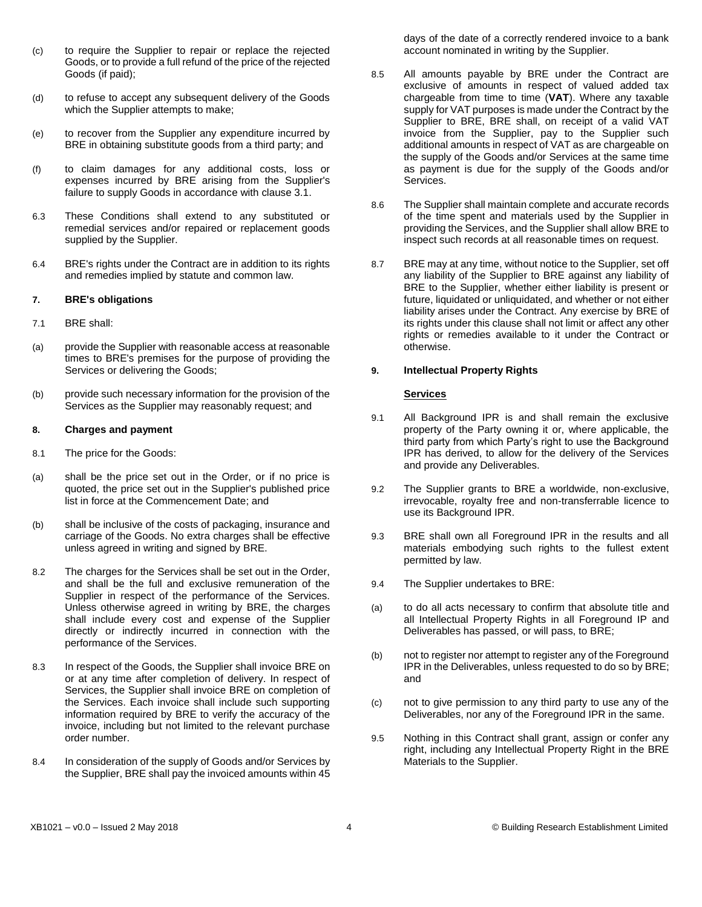- (c) to require the Supplier to repair or replace the rejected Goods, or to provide a full refund of the price of the rejected Goods (if paid);
- (d) to refuse to accept any subsequent delivery of the Goods which the Supplier attempts to make;
- (e) to recover from the Supplier any expenditure incurred by BRE in obtaining substitute goods from a third party; and
- (f) to claim damages for any additional costs, loss or expenses incurred by BRE arising from the Supplier's failure to supply Goods in accordance with clause [3.1.](#page-1-0)
- 6.3 These Conditions shall extend to any substituted or remedial services and/or repaired or replacement goods supplied by the Supplier.
- 6.4 BRE's rights under the Contract are in addition to its rights and remedies implied by statute and common law.

#### **7. BRE's obligations**

- 7.1 BRE shall:
- (a) provide the Supplier with reasonable access at reasonable times to BRE's premises for the purpose of providing the Services or delivering the Goods;
- (b) provide such necessary information for the provision of the Services as the Supplier may reasonably request; and

#### **8. Charges and payment**

- 8.1 The price for the Goods:
- (a) shall be the price set out in the Order, or if no price is quoted, the price set out in the Supplier's published price list in force at the Commencement Date; and
- (b) shall be inclusive of the costs of packaging, insurance and carriage of the Goods. No extra charges shall be effective unless agreed in writing and signed by BRE.
- 8.2 The charges for the Services shall be set out in the Order, and shall be the full and exclusive remuneration of the Supplier in respect of the performance of the Services. Unless otherwise agreed in writing by BRE, the charges shall include every cost and expense of the Supplier directly or indirectly incurred in connection with the performance of the Services.
- 8.3 In respect of the Goods, the Supplier shall invoice BRE on or at any time after completion of delivery. In respect of Services, the Supplier shall invoice BRE on completion of the Services. Each invoice shall include such supporting information required by BRE to verify the accuracy of the invoice, including but not limited to the relevant purchase order number.
- 8.4 In consideration of the supply of Goods and/or Services by the Supplier, BRE shall pay the invoiced amounts within 45

days of the date of a correctly rendered invoice to a bank account nominated in writing by the Supplier.

- 8.5 All amounts payable by BRE under the Contract are exclusive of amounts in respect of valued added tax chargeable from time to time (**VAT**). Where any taxable supply for VAT purposes is made under the Contract by the Supplier to BRE, BRE shall, on receipt of a valid VAT invoice from the Supplier, pay to the Supplier such additional amounts in respect of VAT as are chargeable on the supply of the Goods and/or Services at the same time as payment is due for the supply of the Goods and/or Services.
- 8.6 The Supplier shall maintain complete and accurate records of the time spent and materials used by the Supplier in providing the Services, and the Supplier shall allow BRE to inspect such records at all reasonable times on request.
- 8.7 BRE may at any time, without notice to the Supplier, set off any liability of the Supplier to BRE against any liability of BRE to the Supplier, whether either liability is present or future, liquidated or unliquidated, and whether or not either liability arises under the Contract. Any exercise by BRE of its rights under this clause shall not limit or affect any other rights or remedies available to it under the Contract or otherwise.

# **9. Intellectual Property Rights**

## **Services**

- 9.1 All Background IPR is and shall remain the exclusive property of the Party owning it or, where applicable, the third party from which Party's right to use the Background IPR has derived, to allow for the delivery of the Services and provide any Deliverables.
- 9.2 The Supplier grants to BRE a worldwide, non-exclusive, irrevocable, royalty free and non-transferrable licence to use its Background IPR.
- 9.3 BRE shall own all Foreground IPR in the results and all materials embodying such rights to the fullest extent permitted by law.
- 9.4 The Supplier undertakes to BRE:
- (a) to do all acts necessary to confirm that absolute title and all Intellectual Property Rights in all Foreground IP and Deliverables has passed, or will pass, to BRE;
- (b) not to register nor attempt to register any of the Foreground IPR in the Deliverables, unless requested to do so by BRE; and
- (c) not to give permission to any third party to use any of the Deliverables, nor any of the Foreground IPR in the same.
- 9.5 Nothing in this Contract shall grant, assign or confer any right, including any Intellectual Property Right in the BRE Materials to the Supplier.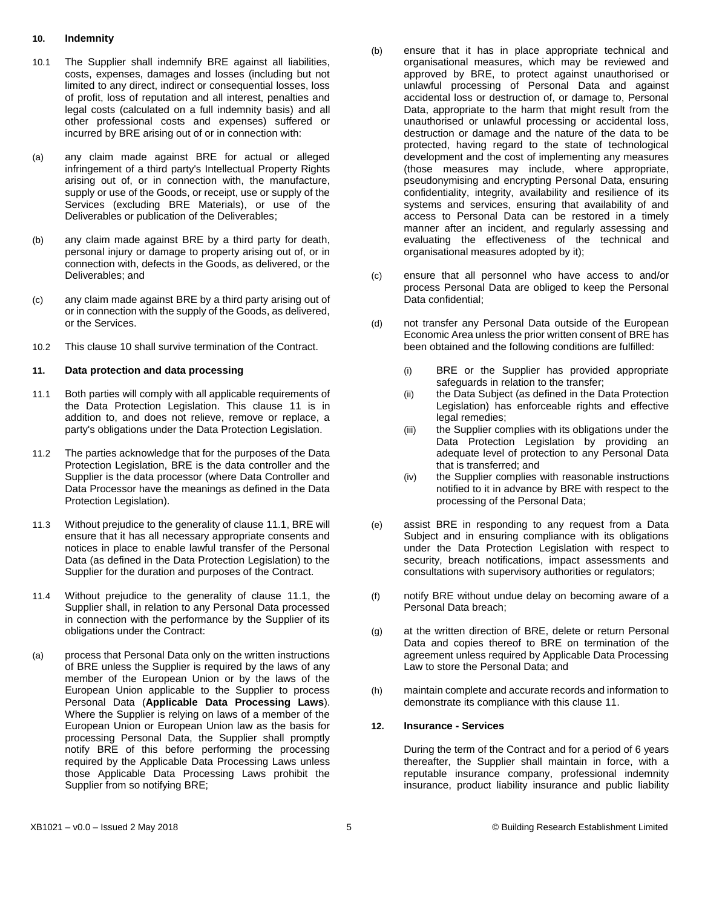#### <span id="page-4-0"></span>**10. Indemnity**

- 10.1 The Supplier shall indemnify BRE against all liabilities, costs, expenses, damages and losses (including but not limited to any direct, indirect or consequential losses, loss of profit, loss of reputation and all interest, penalties and legal costs (calculated on a full indemnity basis) and all other professional costs and expenses) suffered or incurred by BRE arising out of or in connection with:
- (a) any claim made against BRE for actual or alleged infringement of a third party's Intellectual Property Rights arising out of, or in connection with, the manufacture, supply or use of the Goods, or receipt, use or supply of the Services (excluding BRE Materials), or use of the Deliverables or publication of the Deliverables;
- (b) any claim made against BRE by a third party for death, personal injury or damage to property arising out of, or in connection with, defects in the Goods, as delivered, or the Deliverables; and
- (c) any claim made against BRE by a third party arising out of or in connection with the supply of the Goods, as delivered, or the Services.
- 10.2 This claus[e 10](#page-4-0) shall survive termination of the Contract.

## **11. Data protection and data processing**

- 11.1 Both parties will comply with all applicable requirements of the Data Protection Legislation. This clause 11 is in addition to, and does not relieve, remove or replace, a party's obligations under the Data Protection Legislation.
- 11.2 The parties acknowledge that for the purposes of the Data Protection Legislation, BRE is the data controller and the Supplier is the data processor (where Data Controller and Data Processor have the meanings as defined in the Data Protection Legislation).
- 11.3 Without prejudice to the generality of clause 11.1, BRE will ensure that it has all necessary appropriate consents and notices in place to enable lawful transfer of the Personal Data (as defined in the Data Protection Legislation) to the Supplier for the duration and purposes of the Contract.
- 11.4 Without prejudice to the generality of clause 11.1, the Supplier shall, in relation to any Personal Data processed in connection with the performance by the Supplier of its obligations under the Contract:
- (a) process that Personal Data only on the written instructions of BRE unless the Supplier is required by the laws of any member of the European Union or by the laws of the European Union applicable to the Supplier to process Personal Data (**Applicable Data Processing Laws**). Where the Supplier is relying on laws of a member of the European Union or European Union law as the basis for processing Personal Data, the Supplier shall promptly notify BRE of this before performing the processing required by the Applicable Data Processing Laws unless those Applicable Data Processing Laws prohibit the Supplier from so notifying BRE;
- (b) ensure that it has in place appropriate technical and organisational measures, which may be reviewed and approved by BRE, to protect against unauthorised or unlawful processing of Personal Data and against accidental loss or destruction of, or damage to, Personal Data, appropriate to the harm that might result from the unauthorised or unlawful processing or accidental loss, destruction or damage and the nature of the data to be protected, having regard to the state of technological development and the cost of implementing any measures (those measures may include, where appropriate, pseudonymising and encrypting Personal Data, ensuring confidentiality, integrity, availability and resilience of its systems and services, ensuring that availability of and access to Personal Data can be restored in a timely manner after an incident, and regularly assessing and evaluating the effectiveness of the technical and organisational measures adopted by it);
- (c) ensure that all personnel who have access to and/or process Personal Data are obliged to keep the Personal Data confidential;
- (d) not transfer any Personal Data outside of the European Economic Area unless the prior written consent of BRE has been obtained and the following conditions are fulfilled:
	- (i) BRE or the Supplier has provided appropriate safeguards in relation to the transfer;
	- (ii) the Data Subject (as defined in the Data Protection Legislation) has enforceable rights and effective legal remedies;
	- (iii) the Supplier complies with its obligations under the Data Protection Legislation by providing an adequate level of protection to any Personal Data that is transferred; and
	- (iv) the Supplier complies with reasonable instructions notified to it in advance by BRE with respect to the processing of the Personal Data;
- (e) assist BRE in responding to any request from a Data Subject and in ensuring compliance with its obligations under the Data Protection Legislation with respect to security, breach notifications, impact assessments and consultations with supervisory authorities or regulators;
- (f) notify BRE without undue delay on becoming aware of a Personal Data breach;
- (g) at the written direction of BRE, delete or return Personal Data and copies thereof to BRE on termination of the agreement unless required by Applicable Data Processing Law to store the Personal Data; and
- (h) maintain complete and accurate records and information to demonstrate its compliance with this clause 11.

## **12. Insurance - Services**

During the term of the Contract and for a period of 6 years thereafter, the Supplier shall maintain in force, with a reputable insurance company, professional indemnity insurance, product liability insurance and public liability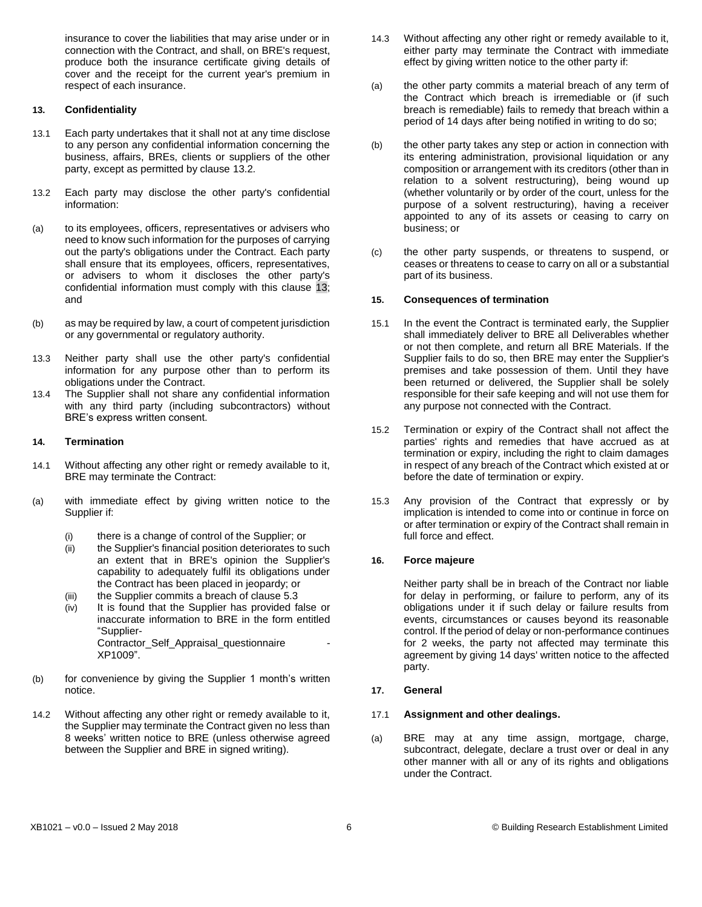insurance to cover the liabilities that may arise under or in connection with the Contract, and shall, on BRE's request, produce both the insurance certificate giving details of cover and the receipt for the current year's premium in respect of each insurance.

## <span id="page-5-0"></span>**13. Confidentiality**

- 13.1 Each party undertakes that it shall not at any time disclose to any person any confidential information concerning the business, affairs, BREs, clients or suppliers of the other party, except as permitted by clause 13.2*.*
- 13.2 Each party may disclose the other party's confidential information:
- (a) to its employees, officers, representatives or advisers who need to know such information for the purposes of carrying out the party's obligations under the Contract. Each party shall ensure that its employees, officers, representatives, or advisers to whom it discloses the other party's confidential information must comply with this clause [13;](#page-5-0) and
- (b) as may be required by law, a court of competent jurisdiction or any governmental or regulatory authority.
- 13.3 Neither party shall use the other party's confidential information for any purpose other than to perform its obligations under the Contract.
- 13.4 The Supplier shall not share any confidential information with any third party (including subcontractors) without BRE's express written consent.

## **14. Termination**

- 14.1 Without affecting any other right or remedy available to it, BRE may terminate the Contract:
- (a) with immediate effect by giving written notice to the Supplier if:
	- (i) there is a change of control of the Supplier; or
	- (ii) the Supplier's financial position deteriorates to such an extent that in BRE's opinion the Supplier's capability to adequately fulfil its obligations under the Contract has been placed in jeopardy; or
	- (iii) the Supplier commits a breach of clause 5.3
	- (iv) It is found that the Supplier has provided false or inaccurate information to BRE in the form entitled "Supplier-Contractor\_Self\_Appraisal\_questionnaire - XP1009".
- (b) for convenience by giving the Supplier 1 month's written notice.
- 14.2 Without affecting any other right or remedy available to it, the Supplier may terminate the Contract given no less than 8 weeks' written notice to BRE (unless otherwise agreed between the Supplier and BRE in signed writing).
- 14.3 Without affecting any other right or remedy available to it, either party may terminate the Contract with immediate effect by giving written notice to the other party if:
- (a) the other party commits a material breach of any term of the Contract which breach is irremediable or (if such breach is remediable) fails to remedy that breach within a period of 14 days after being notified in writing to do so;
- (b) the other party takes any step or action in connection with its entering administration, provisional liquidation or any composition or arrangement with its creditors (other than in relation to a solvent restructuring), being wound up (whether voluntarily or by order of the court, unless for the purpose of a solvent restructuring), having a receiver appointed to any of its assets or ceasing to carry on business; or
- (c) the other party suspends, or threatens to suspend, or ceases or threatens to cease to carry on all or a substantial part of its business.

## **15. Consequences of termination**

- 15.1 In the event the Contract is terminated early, the Supplier shall immediately deliver to BRE all Deliverables whether or not then complete, and return all BRE Materials. If the Supplier fails to do so, then BRE may enter the Supplier's premises and take possession of them. Until they have been returned or delivered, the Supplier shall be solely responsible for their safe keeping and will not use them for any purpose not connected with the Contract.
- 15.2 Termination or expiry of the Contract shall not affect the parties' rights and remedies that have accrued as at termination or expiry, including the right to claim damages in respect of any breach of the Contract which existed at or before the date of termination or expiry.
- 15.3 Any provision of the Contract that expressly or by implication is intended to come into or continue in force on or after termination or expiry of the Contract shall remain in full force and effect.

# **16. Force majeure**

Neither party shall be in breach of the Contract nor liable for delay in performing, or failure to perform, any of its obligations under it if such delay or failure results from events, circumstances or causes beyond its reasonable control. If the period of delay or non-performance continues for 2 weeks, the party not affected may terminate this agreement by giving 14 days' written notice to the affected party.

#### **17. General**

#### 17.1 **Assignment and other dealings.**

(a) BRE may at any time assign, mortgage, charge, subcontract, delegate, declare a trust over or deal in any other manner with all or any of its rights and obligations under the Contract.